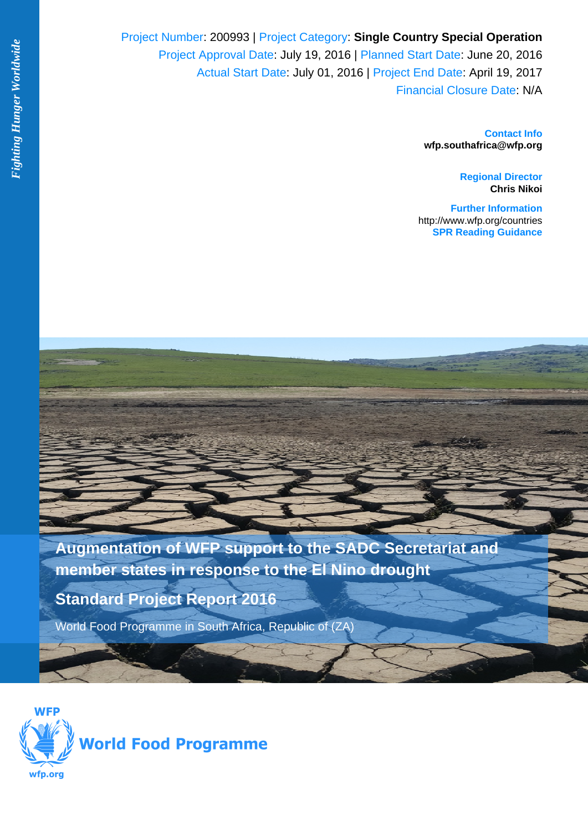Project Number: 200993 | Project Category: **Single Country Special Operation** Project Approval Date: July 19, 2016 | Planned Start Date: June 20, 2016 Actual Start Date: July 01, 2016 | Project End Date: April 19, 2017 Financial Closure Date: N/A

> **Contact Info wfp.southafrica@wfp.org**

> > **Regional Director Chris Nikoi**

**Further Information** <http://www.wfp.org/countries> **[SPR Reading Guidance](http://docustore.wfp.org/stellent/groups/public/documents/manual_guide_proced/wfp289507.pdf)**



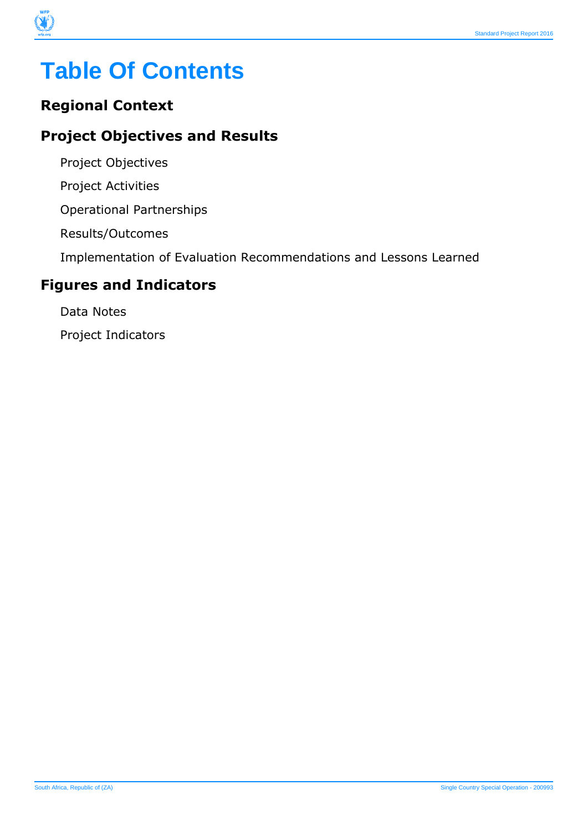

# **Table Of Contents**

### **Regional Context**

### **Project Objectives and Results**

- Project Objectives
- Project Activities
- Operational Partnerships
- Results/Outcomes
- Implementation of Evaluation Recommendations and Lessons Learned

### **Figures and Indicators**

Data Notes

Project Indicators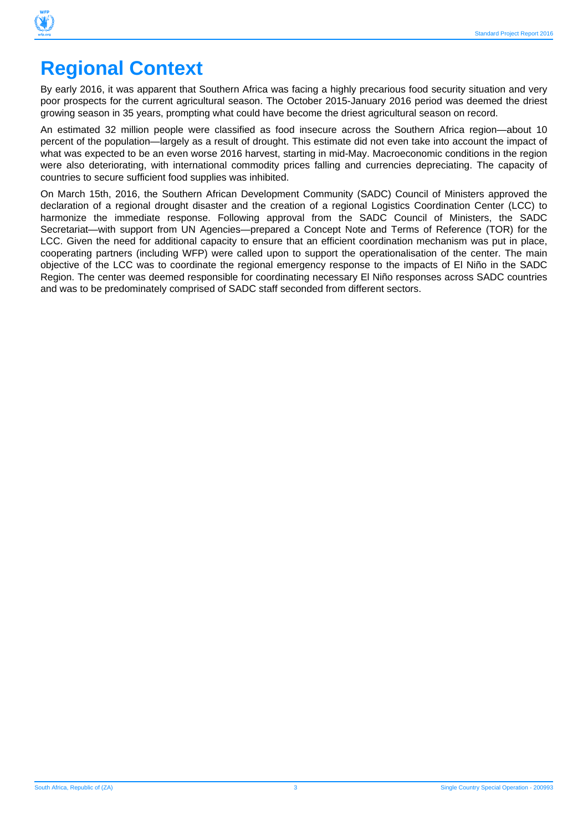

## **Regional Context**

By early 2016, it was apparent that Southern Africa was facing a highly precarious food security situation and very poor prospects for the current agricultural season. The October 2015-January 2016 period was deemed the driest growing season in 35 years, prompting what could have become the driest agricultural season on record.

An estimated 32 million people were classified as food insecure across the Southern Africa region—about 10 percent of the population—largely as a result of drought. This estimate did not even take into account the impact of what was expected to be an even worse 2016 harvest, starting in mid-May. Macroeconomic conditions in the region were also deteriorating, with international commodity prices falling and currencies depreciating. The capacity of countries to secure sufficient food supplies was inhibited.

On March 15th, 2016, the Southern African Development Community (SADC) Council of Ministers approved the declaration of a regional drought disaster and the creation of a regional Logistics Coordination Center (LCC) to harmonize the immediate response. Following approval from the SADC Council of Ministers, the SADC Secretariat—with support from UN Agencies—prepared a Concept Note and Terms of Reference (TOR) for the LCC. Given the need for additional capacity to ensure that an efficient coordination mechanism was put in place, cooperating partners (including WFP) were called upon to support the operationalisation of the center. The main objective of the LCC was to coordinate the regional emergency response to the impacts of El Niño in the SADC Region. The center was deemed responsible for coordinating necessary El Niño responses across SADC countries and was to be predominately comprised of SADC staff seconded from different sectors.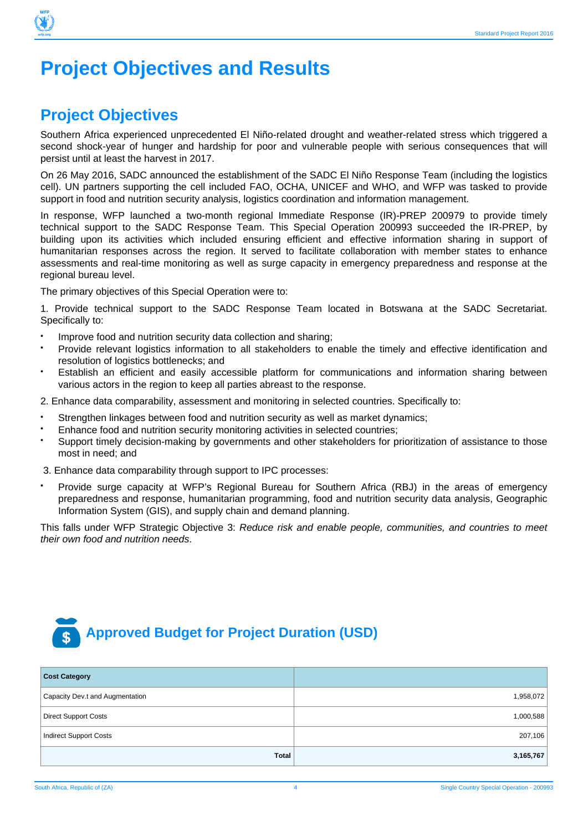

## **Project Objectives and Results**

### **Project Objectives**

Southern Africa experienced unprecedented El Niño-related drought and weather-related stress which triggered a second shock-year of hunger and hardship for poor and vulnerable people with serious consequences that will persist until at least the harvest in 2017.

On 26 May 2016, SADC announced the establishment of the SADC El Niño Response Team (including the logistics cell). UN partners supporting the cell included FAO, OCHA, UNICEF and WHO, and WFP was tasked to provide support in food and nutrition security analysis, logistics coordination and information management.

In response, WFP launched a two-month regional Immediate Response (IR)-PREP 200979 to provide timely technical support to the SADC Response Team. This Special Operation 200993 succeeded the IR-PREP, by building upon its activities which included ensuring efficient and effective information sharing in support of humanitarian responses across the region. It served to facilitate collaboration with member states to enhance assessments and real-time monitoring as well as surge capacity in emergency preparedness and response at the regional bureau level.

The primary objectives of this Special Operation were to:

1. Provide technical support to the SADC Response Team located in Botswana at the SADC Secretariat. Specifically to:

- Improve food and nutrition security data collection and sharing;
- Provide relevant logistics information to all stakeholders to enable the timely and effective identification and resolution of logistics bottlenecks; and
- Establish an efficient and easily accessible platform for communications and information sharing between various actors in the region to keep all parties abreast to the response.

2. Enhance data comparability, assessment and monitoring in selected countries. Specifically to:

- Strengthen linkages between food and nutrition security as well as market dynamics;
- Enhance food and nutrition security monitoring activities in selected countries;
- Support timely decision-making by governments and other stakeholders for prioritization of assistance to those most in need; and
- 3. Enhance data comparability through support to IPC processes:
- Provide surge capacity at WFP's Regional Bureau for Southern Africa (RBJ) in the areas of emergency preparedness and response, humanitarian programming, food and nutrition security data analysis, Geographic Information System (GIS), and supply chain and demand planning.

This falls under WFP Strategic Objective 3: Reduce risk and enable people, communities, and countries to meet their own food and nutrition needs.

### **Approved Budget for Project Duration (USD)**

| <b>Cost Category</b>            |           |
|---------------------------------|-----------|
| Capacity Dev.t and Augmentation | 1,958,072 |
| <b>Direct Support Costs</b>     | 1,000,588 |
| <b>Indirect Support Costs</b>   | 207,106   |
| <b>Total</b>                    | 3,165,767 |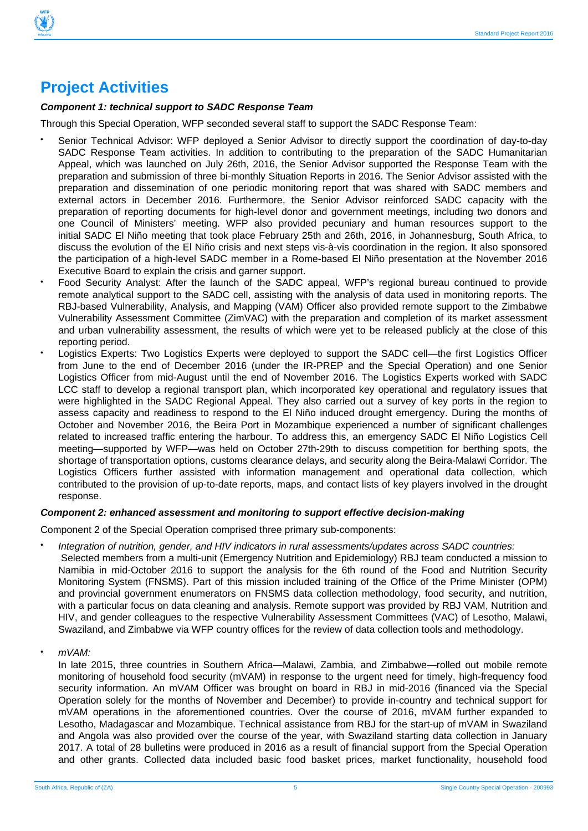### **Project Activities**

#### **Component 1: technical support to SADC Response Team**

Through this Special Operation, WFP seconded several staff to support the SADC Response Team:

- Senior Technical Advisor: WFP deployed a Senior Advisor to directly support the coordination of day-to-day SADC Response Team activities. In addition to contributing to the preparation of the SADC Humanitarian Appeal, which was launched on July 26th, 2016, the Senior Advisor supported the Response Team with the preparation and submission of three bi-monthly Situation Reports in 2016. The Senior Advisor assisted with the preparation and dissemination of one periodic monitoring report that was shared with SADC members and external actors in December 2016. Furthermore, the Senior Advisor reinforced SADC capacity with the preparation of reporting documents for high-level donor and government meetings, including two donors and one Council of Ministers' meeting. WFP also provided pecuniary and human resources support to the initial SADC El Niño meeting that took place February 25th and 26th, 2016, in Johannesburg, South Africa, to discuss the evolution of the El Niño crisis and next steps vis-à-vis coordination in the region. It also sponsored the participation of a high-level SADC member in a Rome-based El Niño presentation at the November 2016 Executive Board to explain the crisis and garner support.
- Food Security Analyst: After the launch of the SADC appeal, WFP's regional bureau continued to provide remote analytical support to the SADC cell, assisting with the analysis of data used in monitoring reports. The RBJ-based Vulnerability, Analysis, and Mapping (VAM) Officer also provided remote support to the Zimbabwe Vulnerability Assessment Committee (ZimVAC) with the preparation and completion of its market assessment and urban vulnerability assessment, the results of which were yet to be released publicly at the close of this reporting period.
- Logistics Experts: Two Logistics Experts were deployed to support the SADC cell—the first Logistics Officer from June to the end of December 2016 (under the IR-PREP and the Special Operation) and one Senior Logistics Officer from mid-August until the end of November 2016. The Logistics Experts worked with SADC LCC staff to develop a regional transport plan, which incorporated key operational and regulatory issues that were highlighted in the SADC Regional Appeal. They also carried out a survey of key ports in the region to assess capacity and readiness to respond to the El Niño induced drought emergency. During the months of October and November 2016, the Beira Port in Mozambique experienced a number of significant challenges related to increased traffic entering the harbour. To address this, an emergency SADC El Niño Logistics Cell meeting—supported by WFP—was held on October 27th-29th to discuss competition for berthing spots, the shortage of transportation options, customs clearance delays, and security along the Beira-Malawi Corridor. The Logistics Officers further assisted with information management and operational data collection, which contributed to the provision of up-to-date reports, maps, and contact lists of key players involved in the drought response.

#### **Component 2: enhanced assessment and monitoring to support effective decision-making**

Component 2 of the Special Operation comprised three primary sub-components:

- Integration of nutrition, gender, and HIV indicators in rural assessments/updates across SADC countries: Selected members from a multi-unit (Emergency Nutrition and Epidemiology) RBJ team conducted a mission to Namibia in mid-October 2016 to support the analysis for the 6th round of the Food and Nutrition Security Monitoring System (FNSMS). Part of this mission included training of the Office of the Prime Minister (OPM) and provincial government enumerators on FNSMS data collection methodology, food security, and nutrition, with a particular focus on data cleaning and analysis. Remote support was provided by RBJ VAM, Nutrition and HIV, and gender colleagues to the respective Vulnerability Assessment Committees (VAC) of Lesotho, Malawi, Swaziland, and Zimbabwe via WFP country offices for the review of data collection tools and methodology.
- mVAM:

In late 2015, three countries in Southern Africa—Malawi, Zambia, and Zimbabwe—rolled out mobile remote monitoring of household food security (mVAM) in response to the urgent need for timely, high-frequency food security information. An mVAM Officer was brought on board in RBJ in mid-2016 (financed via the Special Operation solely for the months of November and December) to provide in-country and technical support for mVAM operations in the aforementioned countries. Over the course of 2016, mVAM further expanded to Lesotho, Madagascar and Mozambique. Technical assistance from RBJ for the start-up of mVAM in Swaziland and Angola was also provided over the course of the year, with Swaziland starting data collection in January 2017. A total of 28 bulletins were produced in 2016 as a result of financial support from the Special Operation and other grants. Collected data included basic food basket prices, market functionality, household food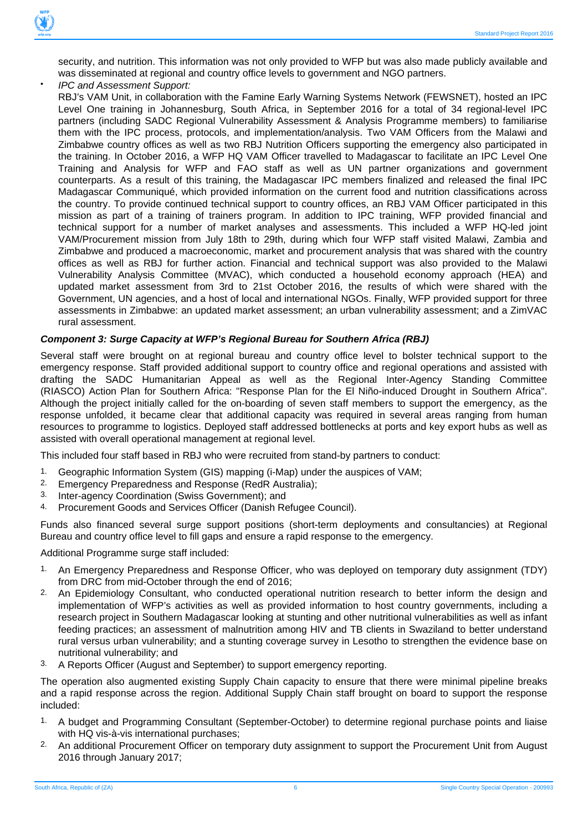

security, and nutrition. This information was not only provided to WFP but was also made publicly available and was disseminated at regional and country office levels to government and NGO partners.

• IPC and Assessment Support:

RBJ's VAM Unit, in collaboration with the Famine Early Warning Systems Network (FEWSNET), hosted an IPC Level One training in Johannesburg, South Africa, in September 2016 for a total of 34 regional-level IPC partners (including SADC Regional Vulnerability Assessment & Analysis Programme members) to familiarise them with the IPC process, protocols, and implementation/analysis. Two VAM Officers from the Malawi and Zimbabwe country offices as well as two RBJ Nutrition Officers supporting the emergency also participated in the training. In October 2016, a WFP HQ VAM Officer travelled to Madagascar to facilitate an IPC Level One Training and Analysis for WFP and FAO staff as well as UN partner organizations and government counterparts. As a result of this training, the Madagascar IPC members finalized and released the final IPC Madagascar Communiqué, which provided information on the current food and nutrition classifications across the country. To provide continued technical support to country offices, an RBJ VAM Officer participated in this mission as part of a training of trainers program. In addition to IPC training, WFP provided financial and technical support for a number of market analyses and assessments. This included a WFP HQ-led joint VAM/Procurement mission from July 18th to 29th, during which four WFP staff visited Malawi, Zambia and Zimbabwe and produced a macroeconomic, market and procurement analysis that was shared with the country offices as well as RBJ for further action. Financial and technical support was also provided to the Malawi Vulnerability Analysis Committee (MVAC), which conducted a household economy approach (HEA) and updated market assessment from 3rd to 21st October 2016, the results of which were shared with the Government, UN agencies, and a host of local and international NGOs. Finally, WFP provided support for three assessments in Zimbabwe: an updated market assessment; an urban vulnerability assessment; and a ZimVAC rural assessment.

#### **Component 3: Surge Capacity at WFP's Regional Bureau for Southern Africa (RBJ)**

Several staff were brought on at regional bureau and country office level to bolster technical support to the emergency response. Staff provided additional support to country office and regional operations and assisted with drafting the SADC Humanitarian Appeal as well as the Regional Inter-Agency Standing Committee (RIASCO) Action Plan for Southern Africa: "Response Plan for the El Niño-induced Drought in Southern Africa". Although the project initially called for the on-boarding of seven staff members to support the emergency, as the response unfolded, it became clear that additional capacity was required in several areas ranging from human resources to programme to logistics. Deployed staff addressed bottlenecks at ports and key export hubs as well as assisted with overall operational management at regional level.

This included four staff based in RBJ who were recruited from stand-by partners to conduct:

- 1. Geographic Information System (GIS) mapping (i-Map) under the auspices of VAM;
- 2. Emergency Preparedness and Response (RedR Australia);
- 3. Inter-agency Coordination (Swiss Government); and
- 4. Procurement Goods and Services Officer (Danish Refugee Council).

Funds also financed several surge support positions (short-term deployments and consultancies) at Regional Bureau and country office level to fill gaps and ensure a rapid response to the emergency.

#### Additional Programme surge staff included:

- 1. An Emergency Preparedness and Response Officer, who was deployed on temporary duty assignment (TDY) from DRC from mid-October through the end of 2016;
- 2. An Epidemiology Consultant, who conducted operational nutrition research to better inform the design and implementation of WFP's activities as well as provided information to host country governments, including a research project in Southern Madagascar looking at stunting and other nutritional vulnerabilities as well as infant feeding practices; an assessment of malnutrition among HIV and TB clients in Swaziland to better understand rural versus urban vulnerability; and a stunting coverage survey in Lesotho to strengthen the evidence base on nutritional vulnerability; and
- 3. A Reports Officer (August and September) to support emergency reporting.

The operation also augmented existing Supply Chain capacity to ensure that there were minimal pipeline breaks and a rapid response across the region. Additional Supply Chain staff brought on board to support the response included:

- 1. A budget and Programming Consultant (September-October) to determine regional purchase points and liaise with HQ vis-à-vis international purchases;
- 2. An additional Procurement Officer on temporary duty assignment to support the Procurement Unit from August 2016 through January 2017;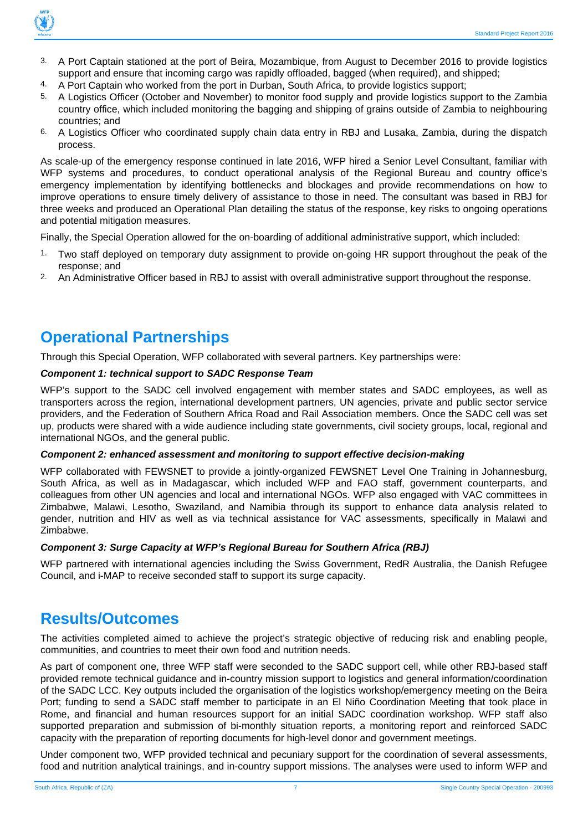

- 3. A Port Captain stationed at the port of Beira, Mozambique, from August to December 2016 to provide logistics support and ensure that incoming cargo was rapidly offloaded, bagged (when required), and shipped;
- 4. A Port Captain who worked from the port in Durban, South Africa, to provide logistics support;
- 5. A Logistics Officer (October and November) to monitor food supply and provide logistics support to the Zambia country office, which included monitoring the bagging and shipping of grains outside of Zambia to neighbouring countries; and
- 6. A Logistics Officer who coordinated supply chain data entry in RBJ and Lusaka, Zambia, during the dispatch process.

As scale-up of the emergency response continued in late 2016, WFP hired a Senior Level Consultant, familiar with WFP systems and procedures, to conduct operational analysis of the Regional Bureau and country office's emergency implementation by identifying bottlenecks and blockages and provide recommendations on how to improve operations to ensure timely delivery of assistance to those in need. The consultant was based in RBJ for three weeks and produced an Operational Plan detailing the status of the response, key risks to ongoing operations and potential mitigation measures.

Finally, the Special Operation allowed for the on-boarding of additional administrative support, which included:

- 1. Two staff deployed on temporary duty assignment to provide on-going HR support throughout the peak of the response; and
- 2. An Administrative Officer based in RBJ to assist with overall administrative support throughout the response.

#### **Operational Partnerships**

Through this Special Operation, WFP collaborated with several partners. Key partnerships were:

#### **Component 1: technical support to SADC Response Team**

WFP's support to the SADC cell involved engagement with member states and SADC employees, as well as transporters across the region, international development partners, UN agencies, private and public sector service providers, and the Federation of Southern Africa Road and Rail Association members. Once the SADC cell was set up, products were shared with a wide audience including state governments, civil society groups, local, regional and international NGOs, and the general public.

#### **Component 2: enhanced assessment and monitoring to support effective decision-making**

WFP collaborated with FEWSNET to provide a jointly-organized FEWSNET Level One Training in Johannesburg, South Africa, as well as in Madagascar, which included WFP and FAO staff, government counterparts, and colleagues from other UN agencies and local and international NGOs. WFP also engaged with VAC committees in Zimbabwe, Malawi, Lesotho, Swaziland, and Namibia through its support to enhance data analysis related to gender, nutrition and HIV as well as via technical assistance for VAC assessments, specifically in Malawi and Zimbabwe.

#### **Component 3: Surge Capacity at WFP's Regional Bureau for Southern Africa (RBJ)**

WFP partnered with international agencies including the Swiss Government, RedR Australia, the Danish Refugee Council, and i-MAP to receive seconded staff to support its surge capacity.

#### **Results/Outcomes**

The activities completed aimed to achieve the project's strategic objective of reducing risk and enabling people, communities, and countries to meet their own food and nutrition needs.

As part of component one, three WFP staff were seconded to the SADC support cell, while other RBJ-based staff provided remote technical guidance and in-country mission support to logistics and general information/coordination of the SADC LCC. Key outputs included the organisation of the logistics workshop/emergency meeting on the Beira Port; funding to send a SADC staff member to participate in an El Niño Coordination Meeting that took place in Rome, and financial and human resources support for an initial SADC coordination workshop. WFP staff also supported preparation and submission of bi-monthly situation reports, a monitoring report and reinforced SADC capacity with the preparation of reporting documents for high-level donor and government meetings.

Under component two, WFP provided technical and pecuniary support for the coordination of several assessments, food and nutrition analytical trainings, and in-country support missions. The analyses were used to inform WFP and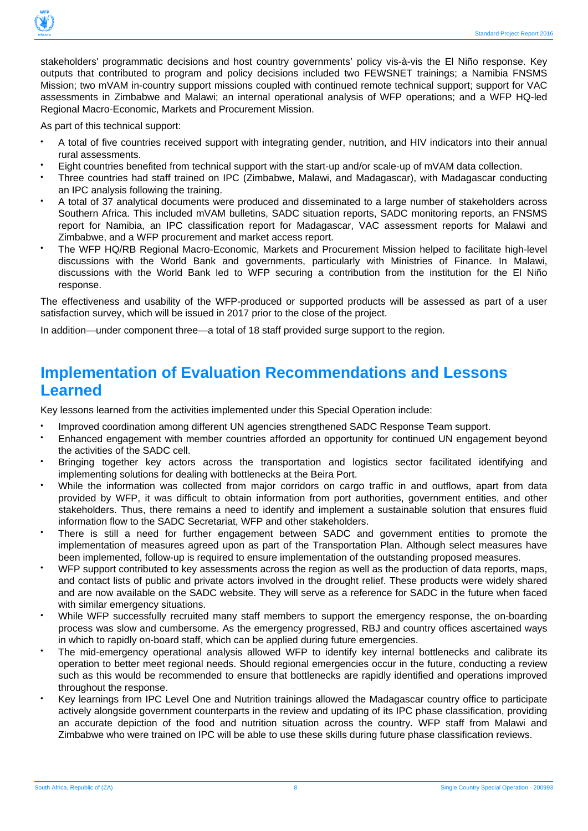

stakeholders' programmatic decisions and host country governments' policy vis-à-vis the El Niño response. Key outputs that contributed to program and policy decisions included two FEWSNET trainings; a Namibia FNSMS Mission; two mVAM in-country support missions coupled with continued remote technical support; support for VAC assessments in Zimbabwe and Malawi; an internal operational analysis of WFP operations; and a WFP HQ-led Regional Macro-Economic, Markets and Procurement Mission.

As part of this technical support:

- A total of five countries received support with integrating gender, nutrition, and HIV indicators into their annual rural assessments.
- Eight countries benefited from technical support with the start-up and/or scale-up of mVAM data collection.
- Three countries had staff trained on IPC (Zimbabwe, Malawi, and Madagascar), with Madagascar conducting an IPC analysis following the training.
- A total of 37 analytical documents were produced and disseminated to a large number of stakeholders across Southern Africa. This included mVAM bulletins, SADC situation reports, SADC monitoring reports, an FNSMS report for Namibia, an IPC classification report for Madagascar, VAC assessment reports for Malawi and Zimbabwe, and a WFP procurement and market access report.
- The WFP HQ/RB Regional Macro-Economic, Markets and Procurement Mission helped to facilitate high-level discussions with the World Bank and governments, particularly with Ministries of Finance. In Malawi, discussions with the World Bank led to WFP securing a contribution from the institution for the El Niño response.

The effectiveness and usability of the WFP-produced or supported products will be assessed as part of a user satisfaction survey, which will be issued in 2017 prior to the close of the project.

In addition—under component three—a total of 18 staff provided surge support to the region.

### **Implementation of Evaluation Recommendations and Lessons Learned**

Key lessons learned from the activities implemented under this Special Operation include:

- Improved coordination among different UN agencies strengthened SADC Response Team support.
- Enhanced engagement with member countries afforded an opportunity for continued UN engagement beyond the activities of the SADC cell.
- Bringing together key actors across the transportation and logistics sector facilitated identifying and implementing solutions for dealing with bottlenecks at the Beira Port.
- While the information was collected from major corridors on cargo traffic in and outflows, apart from data provided by WFP, it was difficult to obtain information from port authorities, government entities, and other stakeholders. Thus, there remains a need to identify and implement a sustainable solution that ensures fluid information flow to the SADC Secretariat, WFP and other stakeholders.
- There is still a need for further engagement between SADC and government entities to promote the implementation of measures agreed upon as part of the Transportation Plan. Although select measures have been implemented, follow-up is required to ensure implementation of the outstanding proposed measures.
- WFP support contributed to key assessments across the region as well as the production of data reports, maps, and contact lists of public and private actors involved in the drought relief. These products were widely shared and are now available on the SADC website. They will serve as a reference for SADC in the future when faced with similar emergency situations.
- While WFP successfully recruited many staff members to support the emergency response, the on-boarding process was slow and cumbersome. As the emergency progressed, RBJ and country offices ascertained ways in which to rapidly on-board staff, which can be applied during future emergencies.
- The mid-emergency operational analysis allowed WFP to identify key internal bottlenecks and calibrate its operation to better meet regional needs. Should regional emergencies occur in the future, conducting a review such as this would be recommended to ensure that bottlenecks are rapidly identified and operations improved throughout the response.
- Key learnings from IPC Level One and Nutrition trainings allowed the Madagascar country office to participate actively alongside government counterparts in the review and updating of its IPC phase classification, providing an accurate depiction of the food and nutrition situation across the country. WFP staff from Malawi and Zimbabwe who were trained on IPC will be able to use these skills during future phase classification reviews.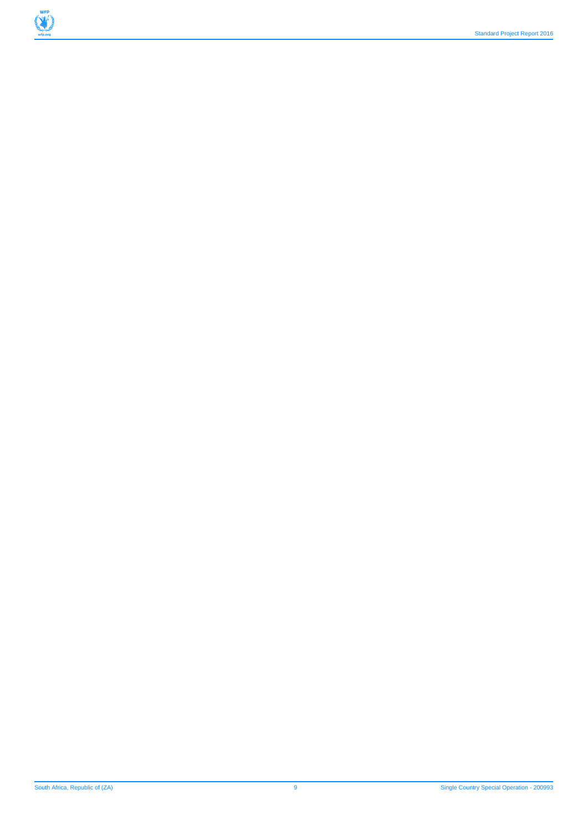